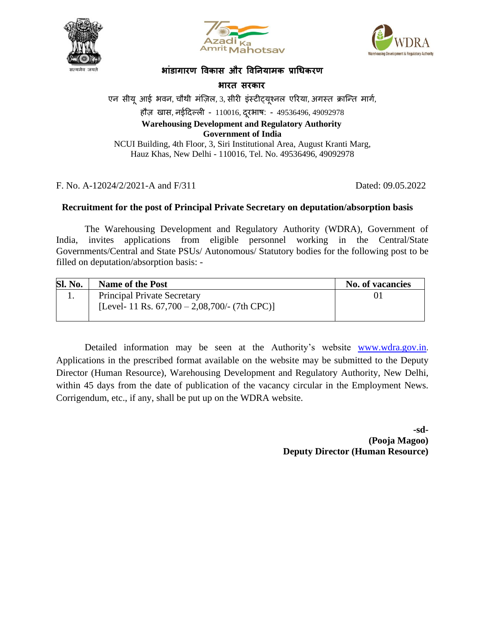





### **भाांडागारण विकास और विनियामक प्राधिकरण**

**भारत सरकार**

एन सीयू आई भवन, चौथी मंज़िल, 3, सीरी इंस्टीट्यूश्नल एरिया, अगस्त क्रान्ति मार्ग,

हौज़ खास, नईदिल्ली - 110016, दूरभाष: - 49536496, 49092978

#### **Warehousing Development and Regulatory Authority Government of India**

NCUI Building, 4th Floor, 3, Siri Institutional Area, August Kranti Marg, Hauz Khas, New Delhi - 110016, Tel. No. 49536496, 49092978

F. No. A-12024/2/2021-A and F/311 Dated: 09.05.2022

## **Recruitment for the post of Principal Private Secretary on deputation/absorption basis**

The Warehousing Development and Regulatory Authority (WDRA), Government of India, invites applications from eligible personnel working in the Central/State Governments/Central and State PSUs/ Autonomous/ Statutory bodies for the following post to be filled on deputation/absorption basis: -

| <b>Sl. No.</b> | <b>Name of the Post</b>                                                                | <b>No. of vacancies</b> |
|----------------|----------------------------------------------------------------------------------------|-------------------------|
|                | <b>Principal Private Secretary</b><br>[Level- 11 Rs. $67,700 - 2,08,700/$ - (7th CPC)] |                         |

Detailed information may be seen at the Authority's website [www.wdra.gov.in](http://www.wdra.gov.in/). Applications in the prescribed format available on the website may be submitted to the Deputy Director (Human Resource), Warehousing Development and Regulatory Authority, New Delhi, within 45 days from the date of publication of the vacancy circular in the Employment News. Corrigendum, etc., if any, shall be put up on the WDRA website.

> **-sd- (Pooja Magoo) Deputy Director (Human Resource)**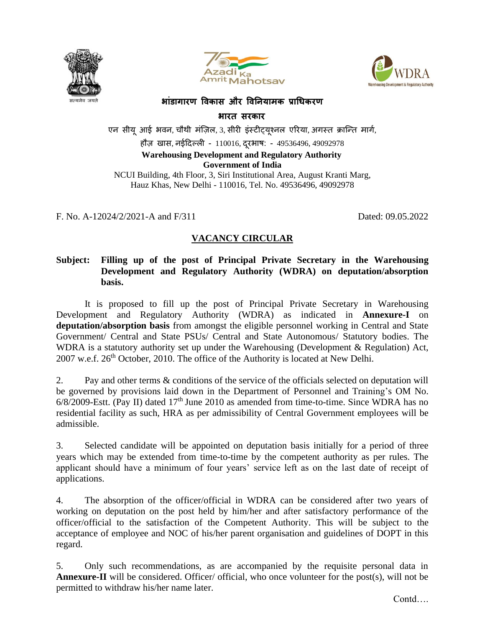





## **भाांडागारण विकास और विनियामक प्राधिकरण**

**भारत सरकार**

एन सीयू आई भवन, चौथी मंज़िल, 3, सीरी इंस्टीट्यूश्नल एरिया, अगस्त क्रान्ति मार्ग, हौज़ खास, नईदिल्ली - 110016, दुरभाष: - 49536496, 49092978 **Warehousing Development and Regulatory Authority Government of India** NCUI Building, 4th Floor, 3, Siri Institutional Area, August Kranti Marg, Hauz Khas, New Delhi - 110016, Tel. No. 49536496, 49092978

F. No. A-12024/2/2021-A and F/311 Dated: 09.05.2022

# **VACANCY CIRCULAR**

## **Subject: Filling up of the post of Principal Private Secretary in the Warehousing Development and Regulatory Authority (WDRA) on deputation/absorption basis.**

It is proposed to fill up the post of Principal Private Secretary in Warehousing Development and Regulatory Authority (WDRA) as indicated in **Annexure-I** on **deputation/absorption basis** from amongst the eligible personnel working in Central and State Government/ Central and State PSUs/ Central and State Autonomous/ Statutory bodies. The WDRA is a statutory authority set up under the Warehousing (Development & Regulation) Act,  $2007$  w.e.f.  $26<sup>th</sup>$  October, 2010. The office of the Authority is located at New Delhi.

2. Pay and other terms & conditions of the service of the officials selected on deputation will be governed by provisions laid down in the Department of Personnel and Training's OM No.  $6/8/2009$ -Estt. (Pay II) dated 17<sup>th</sup> June 2010 as amended from time-to-time. Since WDRA has no residential facility as such, HRA as per admissibility of Central Government employees will be admissible.

3. Selected candidate will be appointed on deputation basis initially for a period of three years which may be extended from time-to-time by the competent authority as per rules. The applicant should have a minimum of four years' service left as on the last date of receipt of applications.

4. The absorption of the officer/official in WDRA can be considered after two years of working on deputation on the post held by him/her and after satisfactory performance of the officer/official to the satisfaction of the Competent Authority. This will be subject to the acceptance of employee and NOC of his/her parent organisation and guidelines of DOPT in this regard.

5. Only such recommendations, as are accompanied by the requisite personal data in **Annexure-II** will be considered. Officer/ official, who once volunteer for the post(s), will not be permitted to withdraw his/her name later.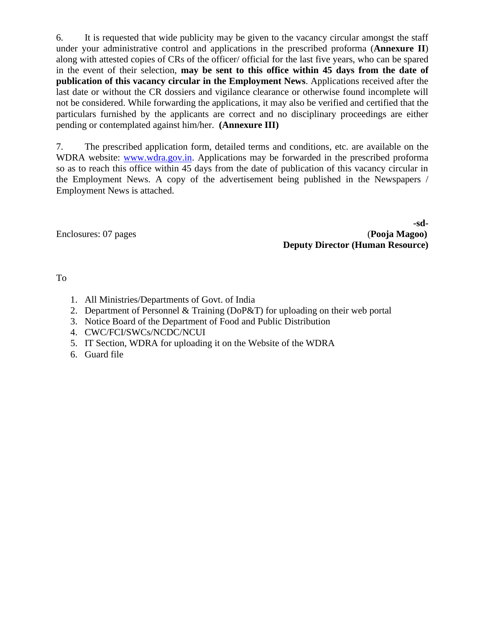6. It is requested that wide publicity may be given to the vacancy circular amongst the staff under your administrative control and applications in the prescribed proforma (**Annexure II**) along with attested copies of CRs of the officer/ official for the last five years, who can be spared in the event of their selection, **may be sent to this office within 45 days from the date of publication of this vacancy circular in the Employment News**. Applications received after the last date or without the CR dossiers and vigilance clearance or otherwise found incomplete will not be considered. While forwarding the applications, it may also be verified and certified that the particulars furnished by the applicants are correct and no disciplinary proceedings are either pending or contemplated against him/her. **(Annexure III)**

7. The prescribed application form, detailed terms and conditions, etc. are available on the WDRA website: [www.wdra.gov.in.](http://www.wdra.gov.in/) Applications may be forwarded in the prescribed proforma so as to reach this office within 45 days from the date of publication of this vacancy circular in the Employment News. A copy of the advertisement being published in the Newspapers / Employment News is attached.

**-sd-**Enclosures: 07 pages (**Pooja Magoo) Deputy Director (Human Resource)**

To

- 1. All Ministries/Departments of Govt. of India
- 2. Department of Personnel & Training (DoP&T) for uploading on their web portal
- 3. Notice Board of the Department of Food and Public Distribution
- 4. CWC/FCI/SWCs/NCDC/NCUI
- 5. IT Section, WDRA for uploading it on the Website of the WDRA
- 6. Guard file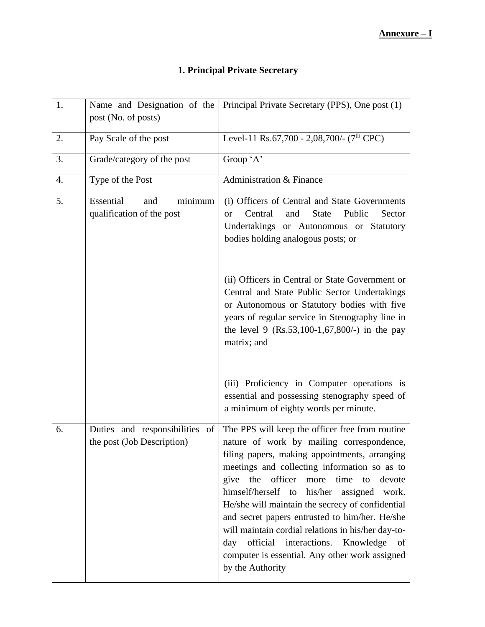# **1. Principal Private Secretary**

| 1. | Name and Designation of the<br>post (No. of posts)              | Principal Private Secretary (PPS), One post (1)                                                                                                                                                                                                                                                                                                                                                                                                                                                                                                                                                        |
|----|-----------------------------------------------------------------|--------------------------------------------------------------------------------------------------------------------------------------------------------------------------------------------------------------------------------------------------------------------------------------------------------------------------------------------------------------------------------------------------------------------------------------------------------------------------------------------------------------------------------------------------------------------------------------------------------|
| 2. | Pay Scale of the post                                           | Level-11 Rs.67,700 - 2,08,700/- (7 <sup>th</sup> CPC)                                                                                                                                                                                                                                                                                                                                                                                                                                                                                                                                                  |
| 3. | Grade/category of the post                                      | Group 'A'                                                                                                                                                                                                                                                                                                                                                                                                                                                                                                                                                                                              |
| 4. | Type of the Post                                                | Administration & Finance                                                                                                                                                                                                                                                                                                                                                                                                                                                                                                                                                                               |
| 5. | Essential<br>minimum<br>and<br>qualification of the post        | (i) Officers of Central and State Governments<br>Central<br>and<br><b>State</b><br>Public<br>Sector<br><sub>or</sub><br>Undertakings or Autonomous or Statutory<br>bodies holding analogous posts; or<br>(ii) Officers in Central or State Government or<br>Central and State Public Sector Undertakings<br>or Autonomous or Statutory bodies with five<br>years of regular service in Stenography line in<br>the level 9 $(Rs.53,100-1,67,800/)$ in the pay<br>matrix; and<br>(iii) Proficiency in Computer operations is                                                                             |
|    |                                                                 | essential and possessing stenography speed of<br>a minimum of eighty words per minute.                                                                                                                                                                                                                                                                                                                                                                                                                                                                                                                 |
| 6. | Duties and responsibilities<br>of<br>the post (Job Description) | The PPS will keep the officer free from routine<br>nature of work by mailing correspondence,<br>filing papers, making appointments, arranging<br>meetings and collecting information so as to<br>the<br>officer<br>more<br>time<br>give<br>to<br>devote<br>himself/herself to<br>his/her<br>assigned<br>work.<br>He/she will maintain the secrecy of confidential<br>and secret papers entrusted to him/her. He/she<br>will maintain cordial relations in his/her day-to-<br>official<br>interactions.<br>Knowledge<br>day<br>of<br>computer is essential. Any other work assigned<br>by the Authority |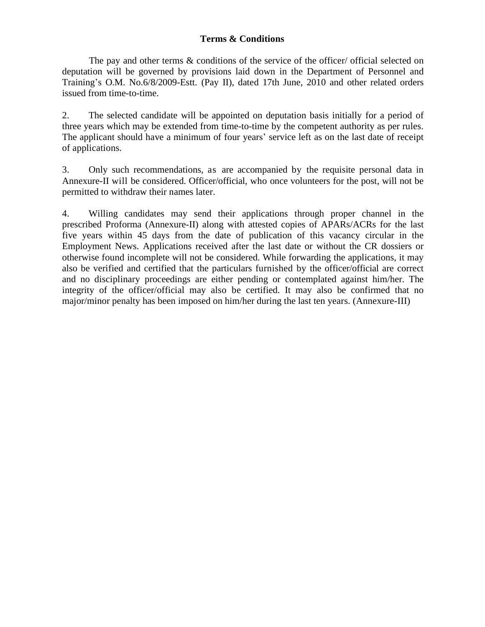## **Terms & Conditions**

The pay and other terms  $\&$  conditions of the service of the officer/ official selected on deputation will be governed by provisions laid down in the Department of Personnel and Training's O.M. No.6/8/2009-Estt. (Pay II), dated 17th June, 2010 and other related orders issued from time-to-time.

2. The selected candidate will be appointed on deputation basis initially for a period of three years which may be extended from time-to-time by the competent authority as per rules. The applicant should have a minimum of four years' service left as on the last date of receipt of applications.

3. Only such recommendations, as are accompanied by the requisite personal data in Annexure-II will be considered. Officer/official, who once volunteers for the post, will not be permitted to withdraw their names later.

4. Willing candidates may send their applications through proper channel in the prescribed Proforma (Annexure-II) along with attested copies of APARs/ACRs for the last five years within 45 days from the date of publication of this vacancy circular in the Employment News. Applications received after the last date or without the CR dossiers or otherwise found incomplete will not be considered. While forwarding the applications, it may also be verified and certified that the particulars furnished by the officer/official are correct and no disciplinary proceedings are either pending or contemplated against him/her. The integrity of the officer/official may also be certified. It may also be confirmed that no major/minor penalty has been imposed on him/her during the last ten years. (Annexure-III)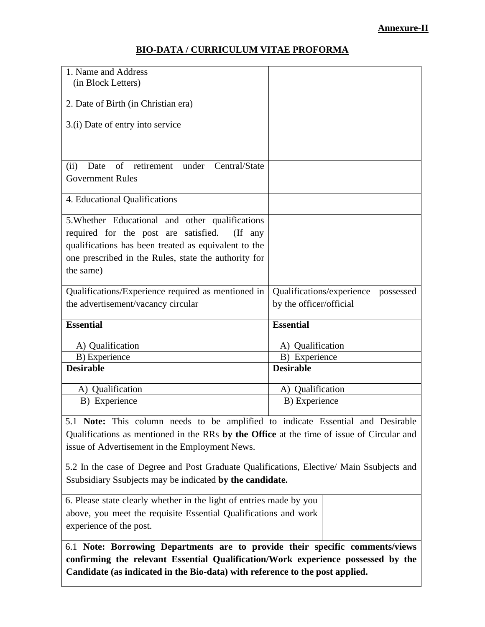## **BIO-DATA / CURRICULUM VITAE PROFORMA**

| 1. Name and Address<br>(in Block Letters)                                                                                                                                                                                          |                                                                |
|------------------------------------------------------------------------------------------------------------------------------------------------------------------------------------------------------------------------------------|----------------------------------------------------------------|
| 2. Date of Birth (in Christian era)                                                                                                                                                                                                |                                                                |
| 3.(i) Date of entry into service                                                                                                                                                                                                   |                                                                |
| $\sigma$ f<br>retirement under<br>Date<br>Central/State<br>(ii)<br><b>Government Rules</b>                                                                                                                                         |                                                                |
| 4. Educational Qualifications                                                                                                                                                                                                      |                                                                |
| 5. Whether Educational and other qualifications<br>required for the post are satisfied.<br>$($ If any<br>qualifications has been treated as equivalent to the<br>one prescribed in the Rules, state the authority for<br>the same) |                                                                |
| Qualifications/Experience required as mentioned in<br>the advertisement/vacancy circular                                                                                                                                           | Qualifications/experience possessed<br>by the officer/official |
| <b>Essential</b>                                                                                                                                                                                                                   | <b>Essential</b>                                               |
| A) Qualification                                                                                                                                                                                                                   | A) Qualification                                               |
| B) Experience                                                                                                                                                                                                                      | B) Experience                                                  |
| <b>Desirable</b>                                                                                                                                                                                                                   | <b>Desirable</b>                                               |
| A) Qualification                                                                                                                                                                                                                   | A) Qualification                                               |
| B) Experience                                                                                                                                                                                                                      | B) Experience                                                  |

5.1 **Note:** This column needs to be amplified to indicate Essential and Desirable Qualifications as mentioned in the RRs **by the Office** at the time of issue of Circular and issue of Advertisement in the Employment News.

5.2 In the case of Degree and Post Graduate Qualifications, Elective/ Main Ssubjects and Ssubsidiary Ssubjects may be indicated **by the candidate.**

6. Please state clearly whether in the light of entries made by you above, you meet the requisite Essential Qualifications and work experience of the post.

6.1 **Note: Borrowing Departments are to provide their specific comments/views confirming the relevant Essential Qualification/Work experience possessed by the Candidate (as indicated in the Bio-data) with reference to the post applied.**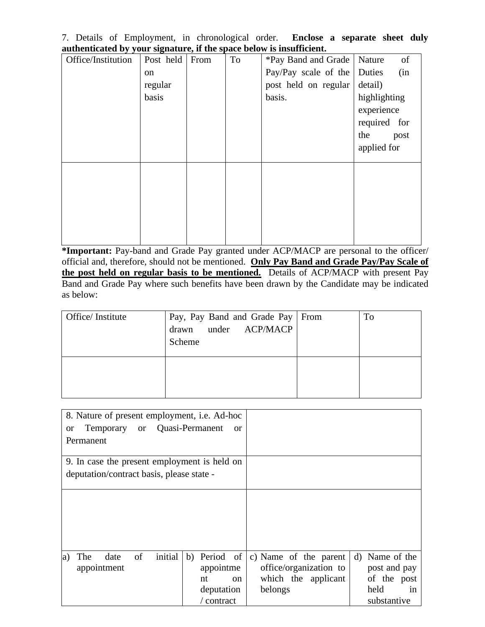7. Details of Employment, in chronological order. **Enclose a separate sheet duly authenticated by your signature, if the space below is insufficient.**

| Office/Institution | Post held | From | To | *Pay Band and Grade   Nature | of           |
|--------------------|-----------|------|----|------------------------------|--------------|
|                    | on        |      |    | Pay/Pay scale of the Duties  | (in          |
|                    | regular   |      |    | post held on regular         | detail)      |
|                    | basis     |      |    | basis.                       | highlighting |
|                    |           |      |    |                              | experience   |
|                    |           |      |    |                              | required for |
|                    |           |      |    |                              | the<br>post  |
|                    |           |      |    |                              | applied for  |
|                    |           |      |    |                              |              |
|                    |           |      |    |                              |              |
|                    |           |      |    |                              |              |
|                    |           |      |    |                              |              |
|                    |           |      |    |                              |              |
|                    |           |      |    |                              |              |

**\*Important:** Pay-band and Grade Pay granted under ACP/MACP are personal to the officer/ official and, therefore, should not be mentioned. **Only Pay Band and Grade Pay/Pay Scale of the post held on regular basis to be mentioned.** Details of ACP/MACP with present Pay Band and Grade Pay where such benefits have been drawn by the Candidate may be indicated as below:

| Office/Institute | Pay, Pay Band and Grade Pay   From<br>drawn under ACP/MACP<br>Scheme | To |
|------------------|----------------------------------------------------------------------|----|
|                  |                                                                      |    |

| 8. Nature of present employment, <i>i.e.</i> Ad-hoc |                     |                        |                |
|-----------------------------------------------------|---------------------|------------------------|----------------|
| Temporary or Quasi-Permanent<br><b>or</b>           | <sub>or</sub>       |                        |                |
| Permanent                                           |                     |                        |                |
| 9. In case the present employment is held on        |                     |                        |                |
| deputation/contract basis, please state -           |                     |                        |                |
|                                                     |                     |                        |                |
|                                                     |                     |                        |                |
|                                                     |                     |                        |                |
|                                                     |                     |                        |                |
| initial<br>of<br>The<br>date<br>a)                  | b) Period of        | c) Name of the parent  | d) Name of the |
| appointment                                         | appointme           | office/organization to | post and pay   |
|                                                     | nt<br><sub>on</sub> | which the applicant    | of the post    |
|                                                     | deputation          | belongs                | held<br>in     |
|                                                     | / contract          |                        | substantive    |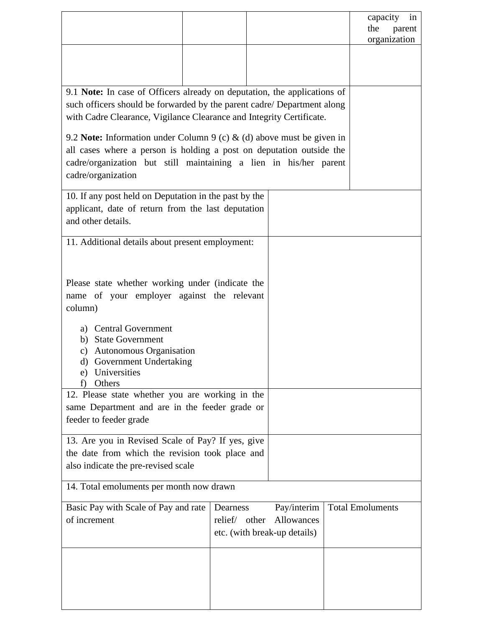|                                                                                                                                                                                                                                                                                                      |                     |                                                                    | capacity<br>in<br>the<br>parent<br>organization |  |
|------------------------------------------------------------------------------------------------------------------------------------------------------------------------------------------------------------------------------------------------------------------------------------------------------|---------------------|--------------------------------------------------------------------|-------------------------------------------------|--|
|                                                                                                                                                                                                                                                                                                      |                     |                                                                    |                                                 |  |
| 9.1 Note: In case of Officers already on deputation, the applications of<br>such officers should be forwarded by the parent cadre/ Department along<br>with Cadre Clearance, Vigilance Clearance and Integrity Certificate.<br>9.2 Note: Information under Column 9 (c) & (d) above must be given in |                     |                                                                    |                                                 |  |
| all cases where a person is holding a post on deputation outside the<br>cadre/organization but still maintaining a lien in his/her parent<br>cadre/organization                                                                                                                                      |                     |                                                                    |                                                 |  |
| 10. If any post held on Deputation in the past by the<br>applicant, date of return from the last deputation<br>and other details.                                                                                                                                                                    |                     |                                                                    |                                                 |  |
| 11. Additional details about present employment:                                                                                                                                                                                                                                                     |                     |                                                                    |                                                 |  |
| Please state whether working under (indicate the<br>name of your employer against the relevant<br>column)                                                                                                                                                                                            |                     |                                                                    |                                                 |  |
| a) Central Government<br><b>State Government</b><br>b)<br><b>Autonomous Organisation</b><br>c)<br>d) Government Undertaking<br>Universities<br>e)<br>Others<br>t)                                                                                                                                    |                     |                                                                    |                                                 |  |
| 12. Please state whether you are working in the<br>same Department and are in the feeder grade or<br>feeder to feeder grade                                                                                                                                                                          |                     |                                                                    |                                                 |  |
| 13. Are you in Revised Scale of Pay? If yes, give<br>the date from which the revision took place and<br>also indicate the pre-revised scale                                                                                                                                                          |                     |                                                                    |                                                 |  |
| 14. Total emoluments per month now drawn                                                                                                                                                                                                                                                             |                     |                                                                    |                                                 |  |
| Basic Pay with Scale of Pay and rate<br>of increment                                                                                                                                                                                                                                                 | Dearness<br>relief/ | Pay/interim<br>Allowances<br>other<br>etc. (with break-up details) | <b>Total Emoluments</b>                         |  |
|                                                                                                                                                                                                                                                                                                      |                     |                                                                    |                                                 |  |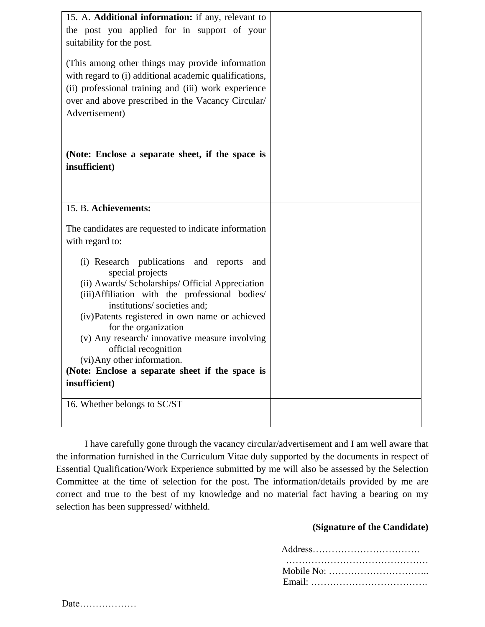| 15. A. Additional information: if any, relevant to               |  |
|------------------------------------------------------------------|--|
| the post you applied for in support of your                      |  |
| suitability for the post.                                        |  |
|                                                                  |  |
| (This among other things may provide information)                |  |
| with regard to (i) additional academic qualifications,           |  |
| (ii) professional training and (iii) work experience             |  |
| over and above prescribed in the Vacancy Circular/               |  |
| Advertisement)                                                   |  |
|                                                                  |  |
|                                                                  |  |
|                                                                  |  |
| (Note: Enclose a separate sheet, if the space is                 |  |
| insufficient)                                                    |  |
|                                                                  |  |
|                                                                  |  |
| 15. B. Achievements:                                             |  |
|                                                                  |  |
| The candidates are requested to indicate information             |  |
| with regard to:                                                  |  |
|                                                                  |  |
| (i) Research publications and reports<br>and<br>special projects |  |
| (ii) Awards/ Scholarships/ Official Appreciation                 |  |
| (iii) Affiliation with the professional bodies/                  |  |
| institutions/societies and;                                      |  |
| (iv)Patents registered in own name or achieved                   |  |
| for the organization                                             |  |
| (v) Any research/ innovative measure involving                   |  |
| official recognition                                             |  |
| (vi) Any other information.                                      |  |
| (Note: Enclose a separate sheet if the space is                  |  |
| insufficient)                                                    |  |
| 16. Whether belongs to SC/ST                                     |  |
|                                                                  |  |
|                                                                  |  |

I have carefully gone through the vacancy circular/advertisement and I am well aware that the information furnished in the Curriculum Vitae duly supported by the documents in respect of Essential Qualification/Work Experience submitted by me will also be assessed by the Selection Committee at the time of selection for the post. The information/details provided by me are correct and true to the best of my knowledge and no material fact having a bearing on my selection has been suppressed/ withheld.

#### **(Signature of the Candidate)**